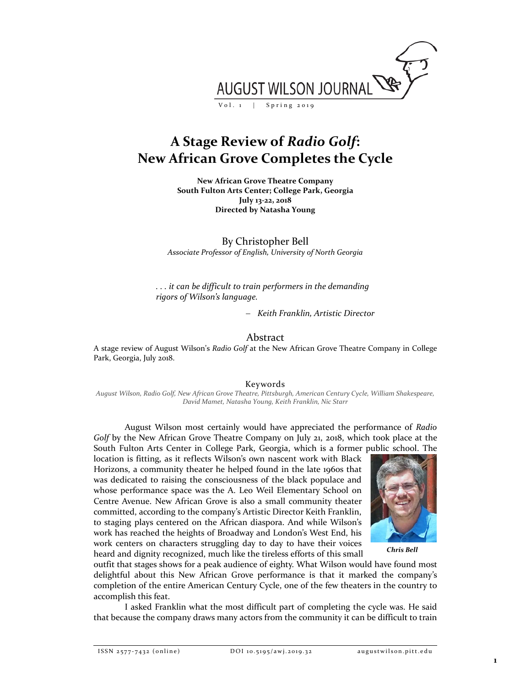

# **A Stage Review of** *Radio Golf***: New African Grove Completes the Cycle**

**New African Grove Theatre Company South Fulton Arts Center; College Park, Georgia July 13-22, 2018 Directed by Natasha Young**

By Christopher Bell *Associate Professor of English, University of North Georgia*

*. . . it can be difficult to train performers in the demanding rigors of Wilson's language.*

− *Keith Franklin, Artistic Director*

## Abstract

A stage review of August Wilson's *Radio Golf* at the New African Grove Theatre Company in College Park, Georgia, July 2018.

Keywords

*August Wilson, Radio Golf, New African Grove Theatre, Pittsburgh, American Century Cycle, William Shakespeare, David Mamet, Natasha Young, Keith Franklin, Nic Starr*

August Wilson most certainly would have appreciated the performance of *Radio Golf* by the New African Grove Theatre Company on July 21, 2018, which took place at the South Fulton Arts Center in College Park, Georgia, which is a former public school. The

location is fitting, as it reflects Wilson's own nascent work with Black Horizons, a community theater he helped found in the late 1960s that was dedicated to raising the consciousness of the black populace and whose performance space was the A. Leo Weil Elementary School on Centre Avenue. New African Grove is also a small community theater committed, according to the company's Artistic Director Keith Franklin, to staging plays centered on the African diaspora. And while Wilson's work has reached the heights of Broadway and London's West End, his work centers on characters struggling day to day to have their voices heard and dignity recognized, much like the tireless efforts of this small



*Chris Bell*

outfit that stages shows for a peak audience of eighty. What Wilson would have found most delightful about this New African Grove performance is that it marked the company's completion of the entire American Century Cycle, one of the few theaters in the country to accomplish this feat.

I asked Franklin what the most difficult part of completing the cycle was. He said that because the company draws many actors from the community it can be difficult to train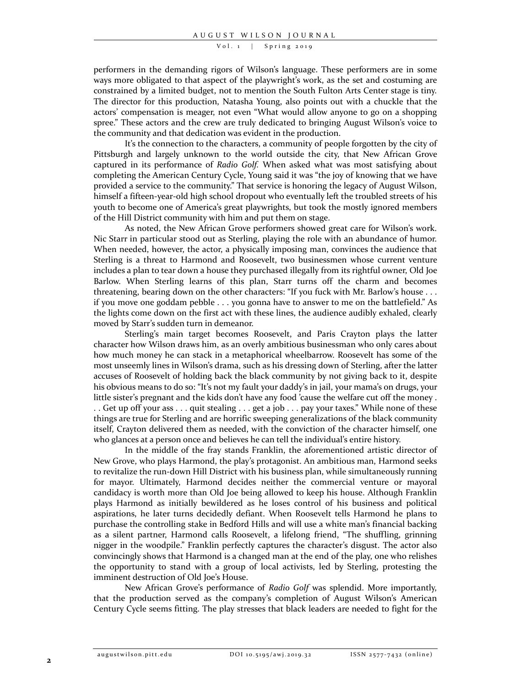Vol. 1 | Spring 2019

performers in the demanding rigors of Wilson's language. These performers are in some ways more obligated to that aspect of the playwright's work, as the set and costuming are constrained by a limited budget, not to mention the South Fulton Arts Center stage is tiny. The director for this production, Natasha Young, also points out with a chuckle that the actors' compensation is meager, not even "What would allow anyone to go on a shopping spree." These actors and the crew are truly dedicated to bringing August Wilson's voice to the community and that dedication was evident in the production.

It's the connection to the characters, a community of people forgotten by the city of Pittsburgh and largely unknown to the world outside the city, that New African Grove captured in its performance of *Radio Golf.* When asked what was most satisfying about completing the American Century Cycle, Young said it was "the joy of knowing that we have provided a service to the community." That service is honoring the legacy of August Wilson, himself a fifteen-year-old high school dropout who eventually left the troubled streets of his youth to become one of America's great playwrights, but took the mostly ignored members of the Hill District community with him and put them on stage.

As noted, the New African Grove performers showed great care for Wilson's work. Nic Starr in particular stood out as Sterling, playing the role with an abundance of humor. When needed, however, the actor, a physically imposing man, convinces the audience that Sterling is a threat to Harmond and Roosevelt, two businessmen whose current venture includes a plan to tear down a house they purchased illegally from its rightful owner, Old Joe Barlow. When Sterling learns of this plan, Starr turns off the charm and becomes threatening, bearing down on the other characters: "If you fuck with Mr. Barlow's house . . . if you move one goddam pebble . . . you gonna have to answer to me on the battlefield." As the lights come down on the first act with these lines, the audience audibly exhaled, clearly moved by Starr's sudden turn in demeanor.

Sterling's main target becomes Roosevelt, and Paris Crayton plays the latter character how Wilson draws him, as an overly ambitious businessman who only cares about how much money he can stack in a metaphorical wheelbarrow. Roosevelt has some of the most unseemly lines in Wilson's drama, such as his dressing down of Sterling, after the latter accuses of Roosevelt of holding back the black community by not giving back to it, despite his obvious means to do so: "It's not my fault your daddy's in jail, your mama's on drugs, your little sister's pregnant and the kids don't have any food 'cause the welfare cut off the money . . . Get up off your ass . . . quit stealing . . . get a job . . . pay your taxes." While none of these things are true for Sterling and are horrific sweeping generalizations of the black community itself, Crayton delivered them as needed, with the conviction of the character himself, one who glances at a person once and believes he can tell the individual's entire history.

In the middle of the fray stands Franklin, the aforementioned artistic director of New Grove, who plays Harmond, the play's protagonist. An ambitious man, Harmond seeks to revitalize the run-down Hill District with his business plan, while simultaneously running for mayor. Ultimately, Harmond decides neither the commercial venture or mayoral candidacy is worth more than Old Joe being allowed to keep his house. Although Franklin plays Harmond as initially bewildered as he loses control of his business and political aspirations, he later turns decidedly defiant. When Roosevelt tells Harmond he plans to purchase the controlling stake in Bedford Hills and will use a white man's financial backing as a silent partner, Harmond calls Roosevelt, a lifelong friend, "The shuffling, grinning nigger in the woodpile." Franklin perfectly captures the character's disgust. The actor also convincingly shows that Harmond is a changed man at the end of the play, one who relishes the opportunity to stand with a group of local activists, led by Sterling, protesting the imminent destruction of Old Joe's House.

New African Grove's performance of *Radio Golf* was splendid. More importantly, that the production served as the company's completion of August Wilson's American Century Cycle seems fitting. The play stresses that black leaders are needed to fight for the